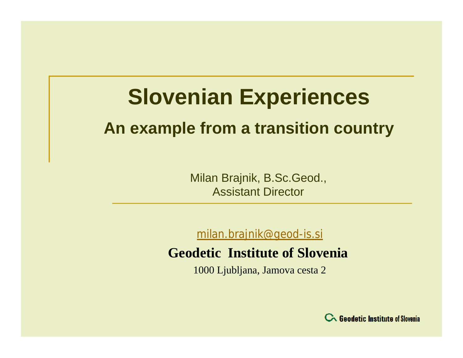# **Slovenian Experiences**

# **An example from a transition country**

Milan Brajnik, B.Sc.Geod., Assistant Director

[milan.brajnik@geod-is.si](mailto:milan.brajnik@geod-is.si)

### **Geodetic Institute of Slovenia**

1000 Ljubljana, Jamova cesta 2

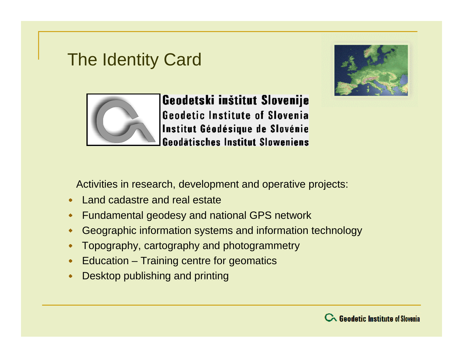# The Identity Card





Geodetski inštitut Slovenije **Geodetic Institute of Slovenia** Institut Géodésique de Slovénie **Geodätisches Institut Sloweniens** 

Activities in research, development and operative projects:

- Land cadastre and real estate
- **Fundamental geodesy and national GPS network**
- Geographic information systems and information technology
- Topography, cartography and photogrammetry
- Education Training centre for geomatics
- **Desktop publishing and printing**

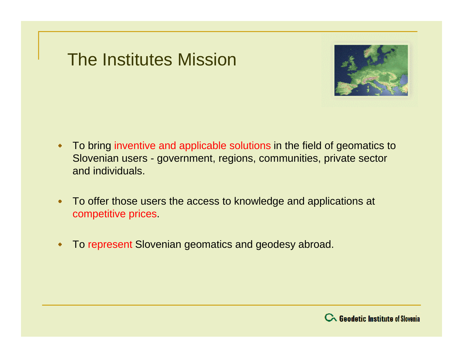# The Institutes Mission



- To bring inventive and applicable solutions in the field of geomatics to  $\bullet$ Slovenian users - government, regions, communities, private sector and individuals.
- To offer those users the access to knowledge and applications at  $\bullet$ competitive prices.
- To represent Slovenian geomatics and geodesy abroad.  $\spadesuit$

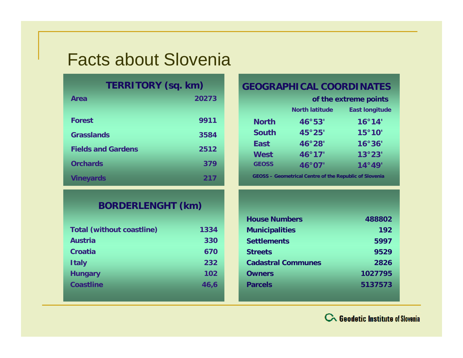# Facts about Slovenia

| TERRITORY (sq. km) |  |  |  |
|--------------------|--|--|--|
|--------------------|--|--|--|

| Area                      | 20273 |
|---------------------------|-------|
| <b>Forest</b>             | 9911  |
| <b>Grasslands</b>         | 3584  |
| <b>Fields and Gardens</b> | 2512  |
| <b>Orchards</b>           | 379   |
| <b>Vineyards</b>          | 217   |

#### **BORDERLENGHT (km)**

| <b>Total (without coastline)</b> | 1334 |
|----------------------------------|------|
| <b>Austria</b>                   | 330  |
| Croatia                          | 670  |
| <b>Italy</b>                     | 232  |
| <b>Hungary</b>                   | 102  |
| <b>Coastline</b>                 | 46.6 |

#### **GEOGRAPHICAL COORDINATES**

| of the extreme points |                       |
|-----------------------|-----------------------|
| <b>North latitude</b> | <b>East longitude</b> |
| 46°53'                | 16°14'                |
| 45°25'                | 15°10'                |
| 46°28'                | 16°36'                |
| 46°17'                | 13°23'                |
| 46°07'                | 14°49'                |
|                       |                       |

**GEOSS – Geometrical Centre of the Republic of Slovenia**

| <b>House Numbers</b>      | 488802  |
|---------------------------|---------|
| <b>Municipalities</b>     | 192     |
| <b>Settlements</b>        | 5997    |
| <b>Streets</b>            | 9529    |
| <b>Cadastral Communes</b> | 2826    |
| <b>Owners</b>             | 1027795 |
| <b>Parcels</b>            | 5137573 |
|                           |         |

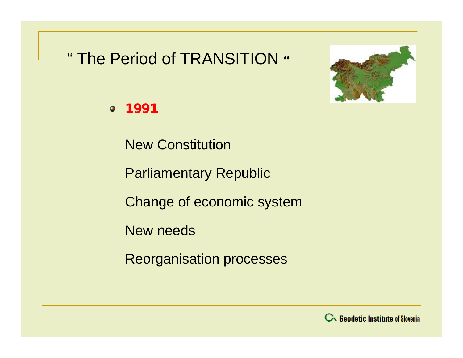# " The Period of TRANSITION **"**



**1991**

New Constitution

Parliamentary Republic

Change of economic system

New needs

Reorganisation processes

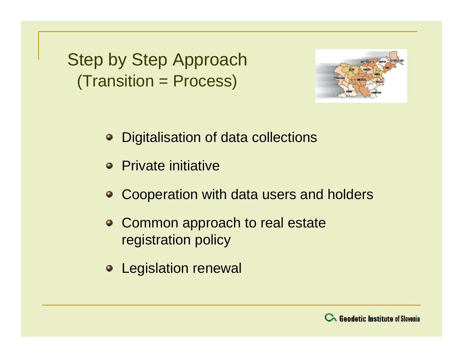Step by Step Approach (Transition = Process)



- Digitalisation of data collections
- Private initiative
- Cooperation with data users and holders
- Common approach to real estate registration policy
- Legislation renewal

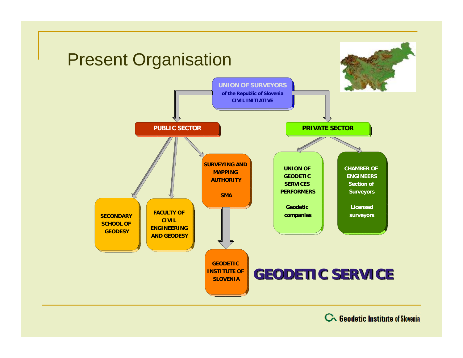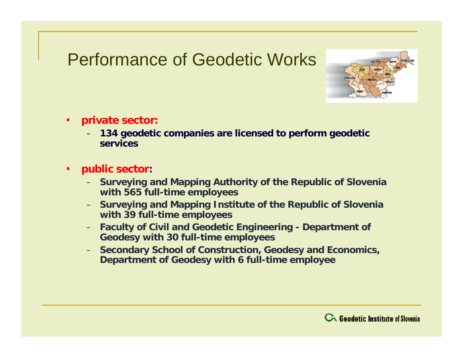# Performance of Geodetic Works



- **private sector:**
	- **134 geodetic companies are licensed to perform geodetic services**
- **public sector:**
	- **Surveying and Mapping Authority of the Republic of Slovenia with 565 full-time employees**
	- **Surveying and Mapping Institute of the Republic of Slovenia with 39 full-time employees**
	- **Faculty of Civil and Geodetic Engineering - Department of Geodesy with 30 full-time employees**
	- **Secondary School of Construction, Geodesy and Economics, Department of Geodesy with 6 full-time employee**

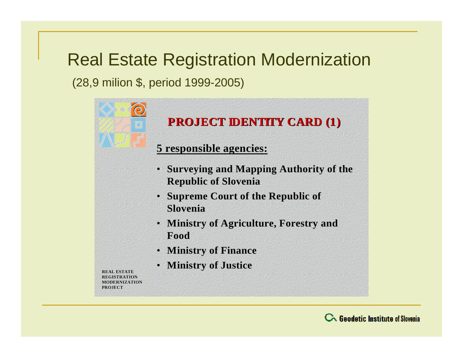# Real Estate Registration Modernization

(28,9 milion \$, period 1999-2005)



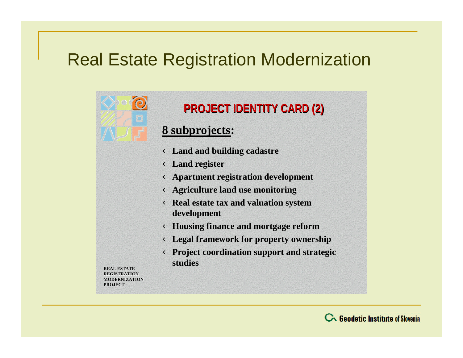# Real Estate Registration Modernization



#### **PROJECT IDENTITY CARD (2)**

#### **8 subprojects:**

Ü **Land and building cadastre** 

Ü **Land register**

Ü **Apartment registration development** 

Ü **Agriculture land use monitoring**

Ü **Real estate tax and valuation system development** 

Ü **Housing finance and mortgage reform** 

Ü **Legal framework for property ownership** 

Ü **Project coordination support and strategic studies**

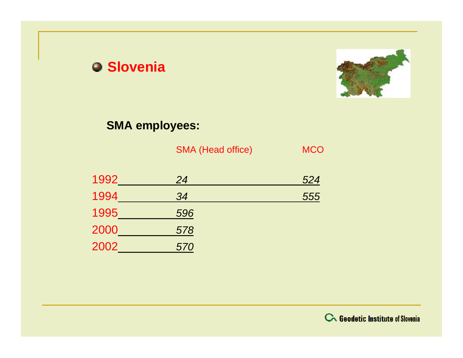

#### **SMA employees:**

|      | <b>SMA (Head office)</b> | <b>MCO</b> |
|------|--------------------------|------------|
| 1992 | 24                       | 524        |
| 1994 | 34                       | 555        |
| 1995 | 596                      |            |
| 2000 | 578                      |            |
| 2002 | 570                      |            |

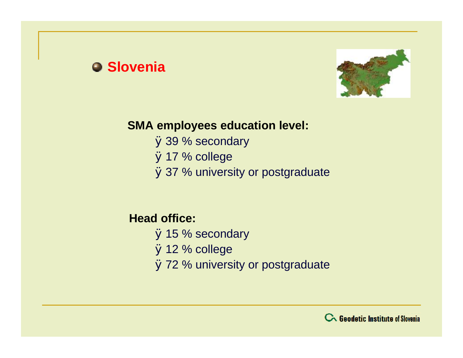

#### **SMA employees education level:**

Ø39 % secondary Ø17 % college Ø37 % university or postgraduate

#### **Head office:**

Ø15 % secondary Ø12 % college Ø72 % university or postgraduate

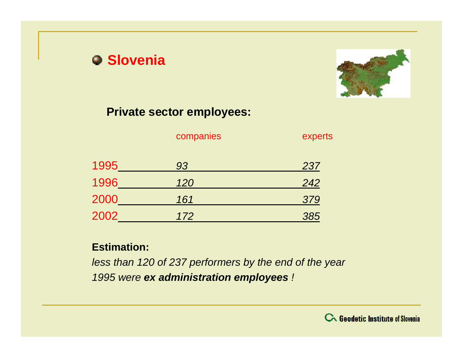

#### **Private sector employees:**

| companies |  |
|-----------|--|
|-----------|--|

experts

| 1995 | 93  | 237 |
|------|-----|-----|
| 1996 | 120 | 242 |
| 2000 | 161 | 379 |
| 2002 | 172 | 385 |

#### **Estimation:**

*less than 120 of 237 performers by the end of the year 1995 were ex administration employees !*

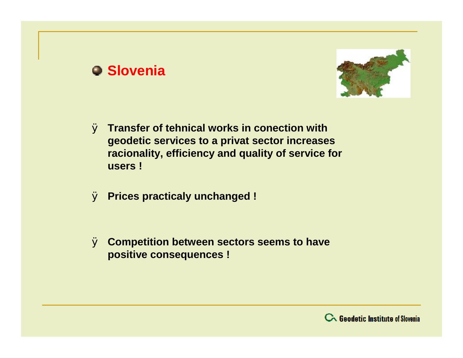

- Ø **Transfer of tehnical works in conection with geodetic services to a privat sector increases racionality, efficiency and quality of service for users !**
- Ø **Prices practicaly unchanged !**
- Ø **Competition between sectors seems to have positive consequences !**

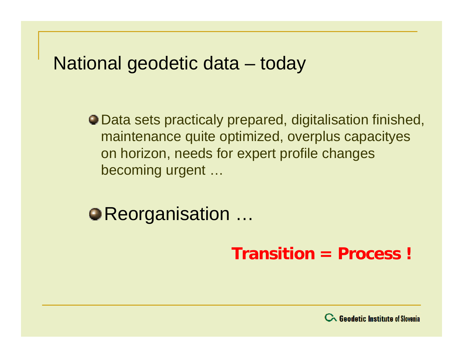# National geodetic data – today

Data sets practicaly prepared, digitalisation finished, maintenance quite optimized, overplus capacityes on horizon, needs for expert profile changes becoming urgent …

● Reorganisation …

**Transition = Process !**

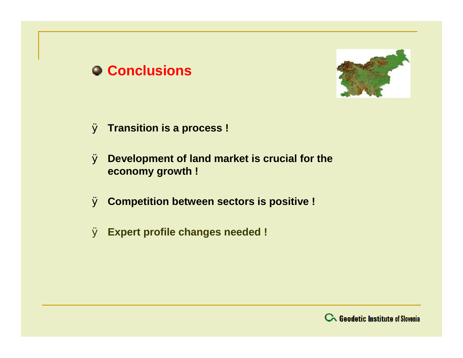### **Conclusions**



- Ø **Transition is a process !**
- Ø **Development of land market is crucial for the economy growth !**
- Ø **Competition between sectors is positive !**
- Ø **Expert profile changes needed !**